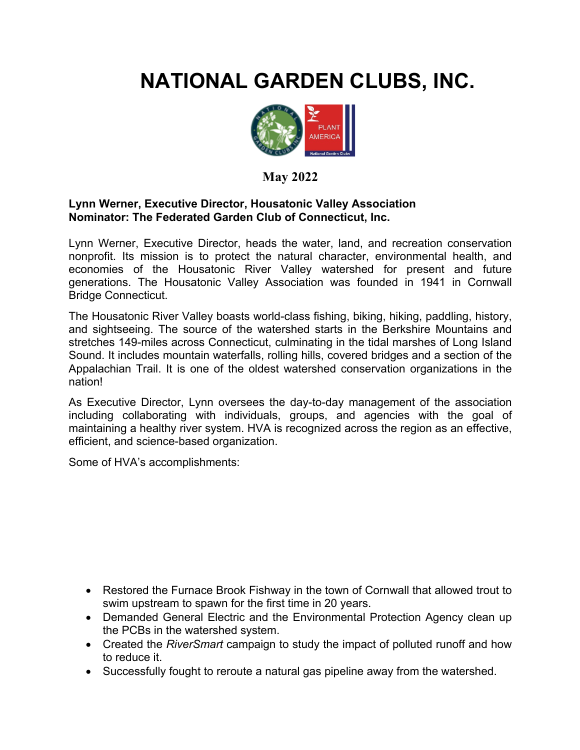## **NATIONAL GARDEN CLUBS, INC.**



## **May 2022**

## **Lynn Werner, Executive Director, Housatonic Valley Association Nominator: The Federated Garden Club of Connecticut, Inc.**

Lynn Werner, Executive Director, heads the water, land, and recreation conservation nonprofit. Its mission is to protect the natural character, environmental health, and economies of the Housatonic River Valley watershed for present and future generations. The Housatonic Valley Association was founded in 1941 in Cornwall Bridge Connecticut.

The Housatonic River Valley boasts world-class fishing, biking, hiking, paddling, history, and sightseeing. The source of the watershed starts in the Berkshire Mountains and stretches 149-miles across Connecticut, culminating in the tidal marshes of Long Island Sound. It includes mountain waterfalls, rolling hills, covered bridges and a section of the Appalachian Trail. It is one of the oldest watershed conservation organizations in the nation!

As Executive Director, Lynn oversees the day-to-day management of the association including collaborating with individuals, groups, and agencies with the goal of maintaining a healthy river system. HVA is recognized across the region as an effective, efficient, and science-based organization.

Some of HVA's accomplishments:

- Restored the Furnace Brook Fishway in the town of Cornwall that allowed trout to swim upstream to spawn for the first time in 20 years.
- Demanded General Electric and the Environmental Protection Agency clean up the PCBs in the watershed system.
- Created the *RiverSmart* campaign to study the impact of polluted runoff and how to reduce it.
- Successfully fought to reroute a natural gas pipeline away from the watershed.